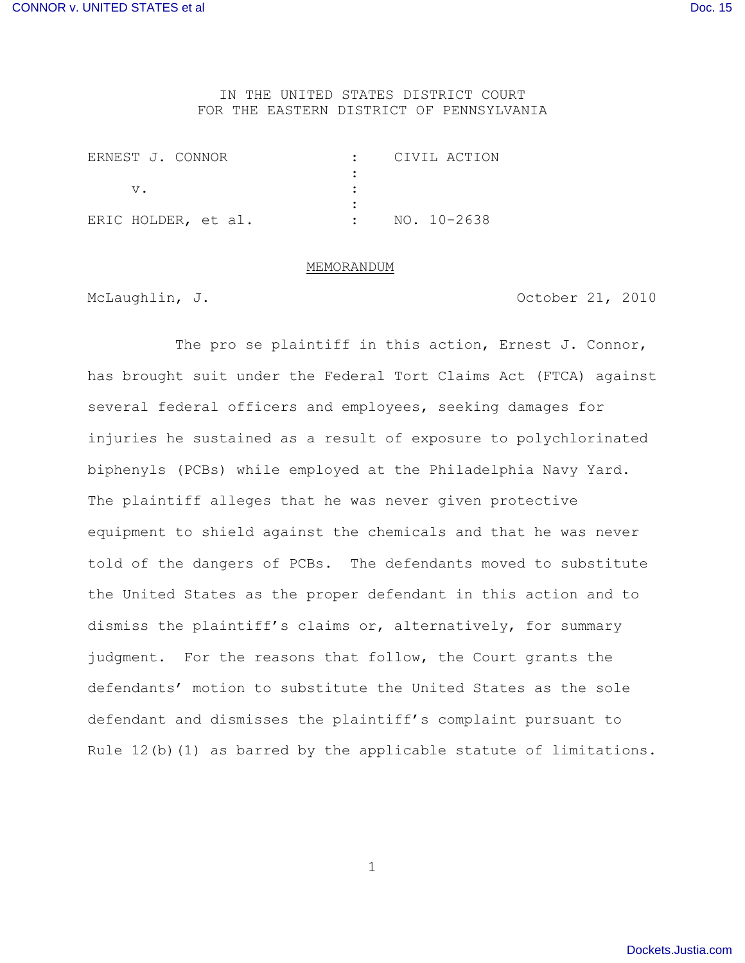## IN THE UNITED STATES DISTRICT COURT FOR THE EASTERN DISTRICT OF PENNSYLVANIA

| ERNEST J. CONNOR    |  |             | CIVIL ACTION |
|---------------------|--|-------------|--------------|
|                     |  |             |              |
| $V_{\cdot}$         |  |             |              |
|                     |  |             |              |
| ERIC HOLDER, et al. |  | NO. 10-2638 |              |

#### MEMORANDUM

McLaughlin, J. **Caughlin, J. Caughlin, J. Caughlin, J.** October 21, 2010

The pro se plaintiff in this action, Ernest J. Connor, has brought suit under the Federal Tort Claims Act (FTCA) against several federal officers and employees, seeking damages for injuries he sustained as a result of exposure to polychlorinated biphenyls (PCBs) while employed at the Philadelphia Navy Yard. The plaintiff alleges that he was never given protective equipment to shield against the chemicals and that he was never told of the dangers of PCBs. The defendants moved to substitute the United States as the proper defendant in this action and to dismiss the plaintiff's claims or, alternatively, for summary judgment. For the reasons that follow, the Court grants the defendants' motion to substitute the United States as the sole defendant and dismisses the plaintiff's complaint pursuant to Rule  $12(b)(1)$  as barred by the applicable statute of limitations.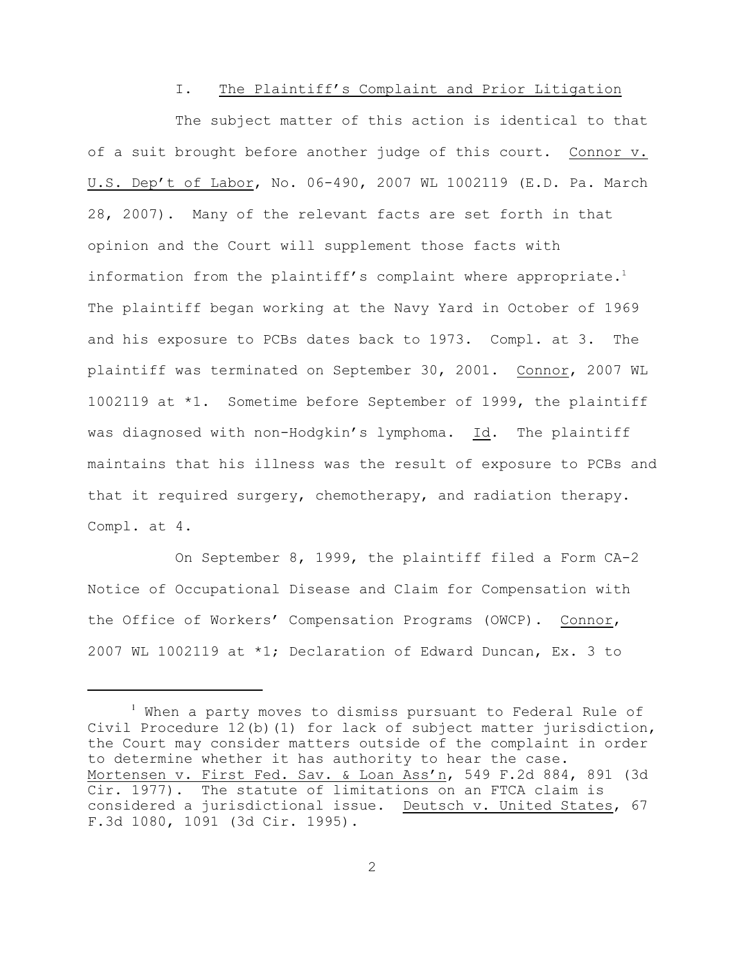#### I. The Plaintiff's Complaint and Prior Litigation

The subject matter of this action is identical to that of a suit brought before another judge of this court. Connor v. U.S. Dep't of Labor, No. 06-490, 2007 WL 1002119 (E.D. Pa. March 28, 2007). Many of the relevant facts are set forth in that opinion and the Court will supplement those facts with information from the plaintiff's complaint where appropriate.<sup>1</sup> The plaintiff began working at the Navy Yard in October of 1969 and his exposure to PCBs dates back to 1973. Compl. at 3. The plaintiff was terminated on September 30, 2001. Connor, 2007 WL 1002119 at \*1. Sometime before September of 1999, the plaintiff was diagnosed with non-Hodgkin's lymphoma. Id. The plaintiff maintains that his illness was the result of exposure to PCBs and that it required surgery, chemotherapy, and radiation therapy. Compl. at 4.

On September 8, 1999, the plaintiff filed a Form CA-2 Notice of Occupational Disease and Claim for Compensation with the Office of Workers' Compensation Programs (OWCP). Connor, 2007 WL 1002119 at \*1; Declaration of Edward Duncan, Ex. 3 to

<sup>&</sup>lt;sup>1</sup> When a party moves to dismiss pursuant to Federal Rule of Civil Procedure 12(b)(1) for lack of subject matter jurisdiction, the Court may consider matters outside of the complaint in order to determine whether it has authority to hear the case. Mortensen v. First Fed. Sav. & Loan Ass'n, 549 F.2d 884, 891 (3d Cir. 1977). The statute of limitations on an FTCA claim is considered a jurisdictional issue. Deutsch v. United States, 67 F.3d 1080, 1091 (3d Cir. 1995).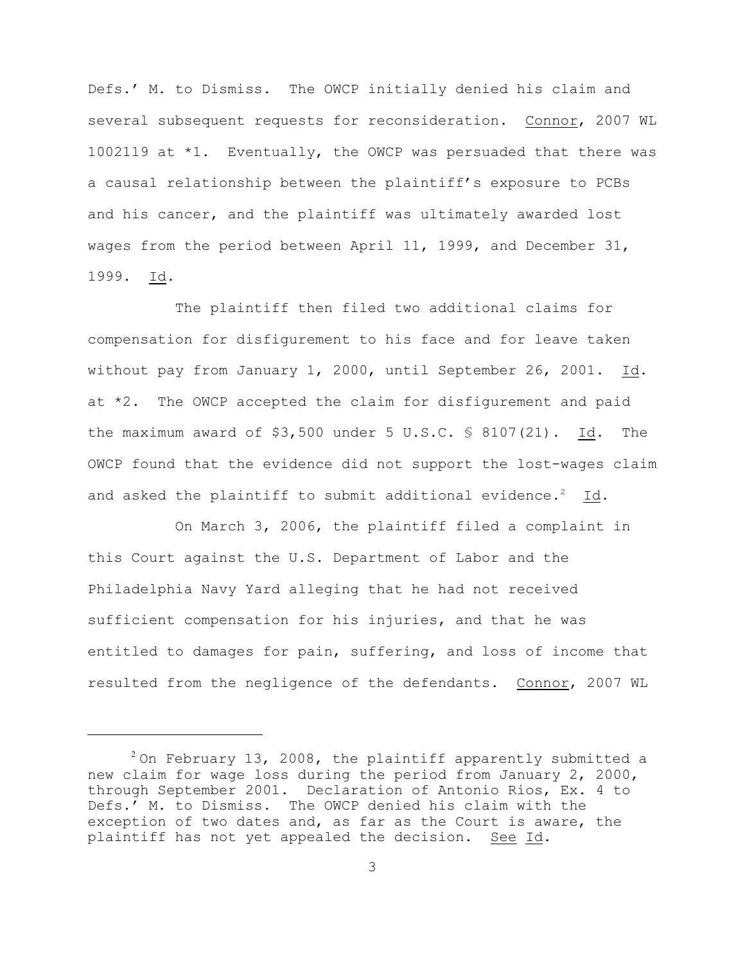Defs.' M. to Dismiss. The OWCP initially denied his claim and several subsequent requests for reconsideration. Connor, 2007 WL 1002119 at \*1. Eventually, the OWCP was persuaded that there was a causal relationship between the plaintiff's exposure to PCBs and his cancer, and the plaintiff was ultimately awarded lost wages from the period between April 11, 1999, and December 31, 1999. Id.

The plaintiff then filed two additional claims for compensation for disfigurement to his face and for leave taken without pay from January 1, 2000, until September 26, 2001. Id. at \*2. The OWCP accepted the claim for disfigurement and paid the maximum award of  $$3,500$  under 5 U.S.C.  $$8107(21)$ . Id. The OWCP found that the evidence did not support the lost-wages claim and asked the plaintiff to submit additional evidence.<sup>2</sup> Id.

On March 3, 2006, the plaintiff filed a complaint in this Court against the U.S. Department of Labor and the Philadelphia Navy Yard alleging that he had not received sufficient compensation for his injuries, and that he was entitled to damages for pain, suffering, and loss of income that resulted from the negligence of the defendants. Connor, 2007 WL

 $2$ On February 13, 2008, the plaintiff apparently submitted a new claim for wage loss during the period from January 2, 2000, through September 2001. Declaration of Antonio Rios, Ex. 4 to Defs.' M. to Dismiss. The OWCP denied his claim with the exception of two dates and, as far as the Court is aware, the plaintiff has not yet appealed the decision. See Id.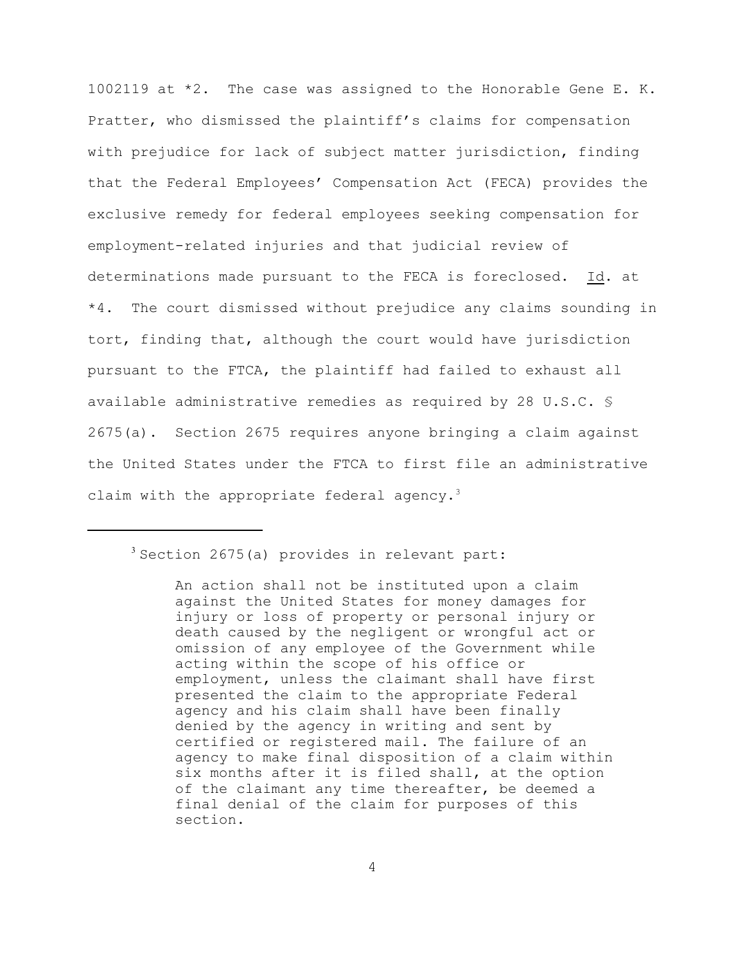1002119 at \*2. The case was assigned to the Honorable Gene E. K. Pratter, who dismissed the plaintiff's claims for compensation with prejudice for lack of subject matter jurisdiction, finding that the Federal Employees' Compensation Act (FECA) provides the exclusive remedy for federal employees seeking compensation for employment-related injuries and that judicial review of determinations made pursuant to the FECA is foreclosed. Id. at \*4. The court dismissed without prejudice any claims sounding in tort, finding that, although the court would have jurisdiction pursuant to the FTCA, the plaintiff had failed to exhaust all available administrative remedies as required by 28 U.S.C. § 2675(a). Section 2675 requires anyone bringing a claim against the United States under the FTCA to first file an administrative claim with the appropriate federal agency.<sup>3</sup>

 $3$  Section 2675(a) provides in relevant part:

An action shall not be instituted upon a claim against the United States for money damages for injury or loss of property or personal injury or death caused by the negligent or wrongful act or omission of any employee of the Government while acting within the scope of his office or employment, unless the claimant shall have first presented the claim to the appropriate Federal agency and his claim shall have been finally denied by the agency in writing and sent by certified or registered mail. The failure of an agency to make final disposition of a claim within six months after it is filed shall, at the option of the claimant any time thereafter, be deemed a final denial of the claim for purposes of this section.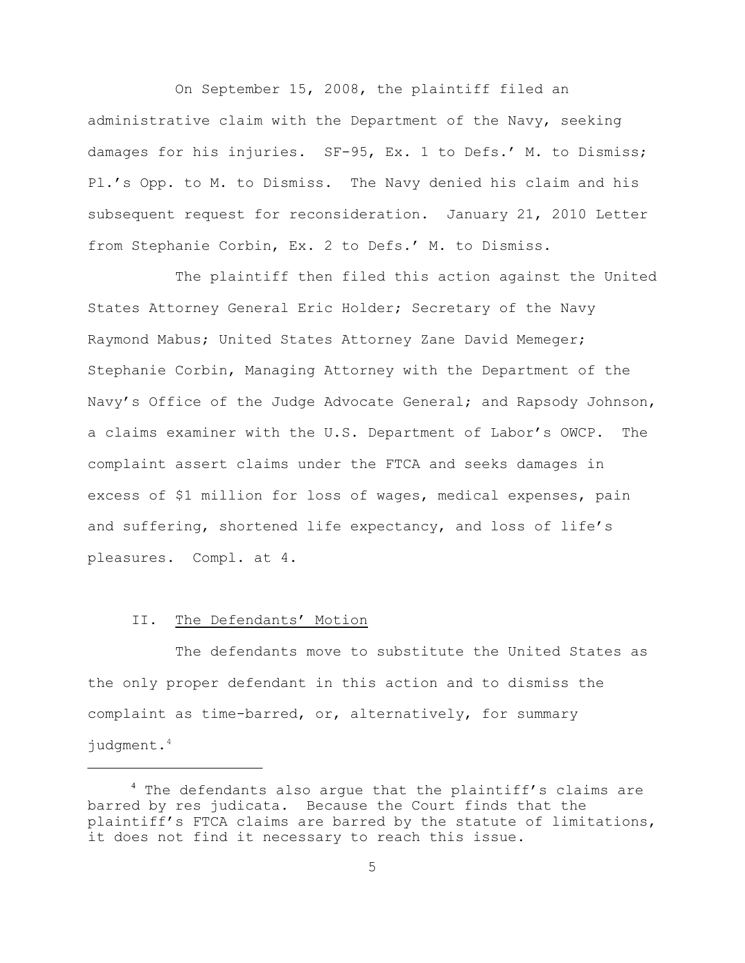On September 15, 2008, the plaintiff filed an administrative claim with the Department of the Navy, seeking damages for his injuries. SF-95, Ex. 1 to Defs.' M. to Dismiss; Pl.'s Opp. to M. to Dismiss. The Navy denied his claim and his subsequent request for reconsideration. January 21, 2010 Letter from Stephanie Corbin, Ex. 2 to Defs.' M. to Dismiss.

The plaintiff then filed this action against the United States Attorney General Eric Holder; Secretary of the Navy Raymond Mabus; United States Attorney Zane David Memeger; Stephanie Corbin, Managing Attorney with the Department of the Navy's Office of the Judge Advocate General; and Rapsody Johnson, a claims examiner with the U.S. Department of Labor's OWCP. The complaint assert claims under the FTCA and seeks damages in excess of \$1 million for loss of wages, medical expenses, pain and suffering, shortened life expectancy, and loss of life's pleasures. Compl. at 4.

## II. The Defendants' Motion

The defendants move to substitute the United States as the only proper defendant in this action and to dismiss the complaint as time-barred, or, alternatively, for summary judgment.<sup>4</sup>

 $4$  The defendants also argue that the plaintiff's claims are barred by res judicata. Because the Court finds that the plaintiff's FTCA claims are barred by the statute of limitations, it does not find it necessary to reach this issue.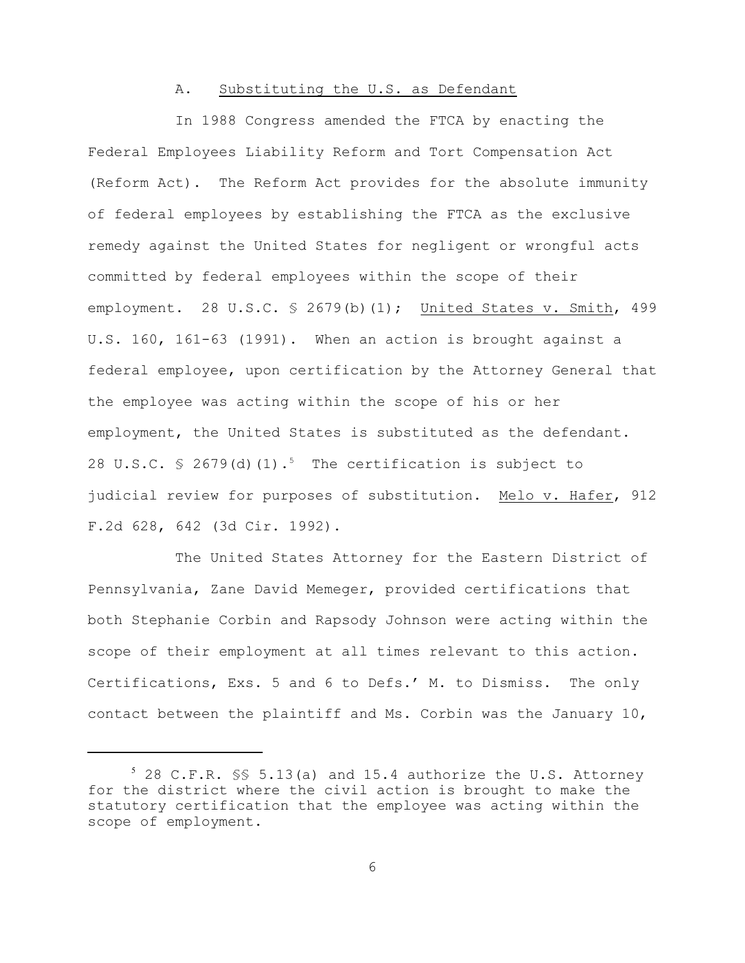# A. Substituting the U.S. as Defendant

In 1988 Congress amended the FTCA by enacting the Federal Employees Liability Reform and Tort Compensation Act (Reform Act). The Reform Act provides for the absolute immunity of federal employees by establishing the FTCA as the exclusive remedy against the United States for negligent or wrongful acts committed by federal employees within the scope of their employment. 28 U.S.C. § 2679(b)(1); United States v. Smith, 499 U.S. 160, 161-63 (1991). When an action is brought against a federal employee, upon certification by the Attorney General that the employee was acting within the scope of his or her employment, the United States is substituted as the defendant. 28 U.S.C.  $\frac{1}{2}$  2679(d)(1).<sup>5</sup> The certification is subject to judicial review for purposes of substitution. Melo v. Hafer, 912 F.2d 628, 642 (3d Cir. 1992).

The United States Attorney for the Eastern District of Pennsylvania, Zane David Memeger, provided certifications that both Stephanie Corbin and Rapsody Johnson were acting within the scope of their employment at all times relevant to this action. Certifications, Exs. 5 and 6 to Defs.' M. to Dismiss. The only contact between the plaintiff and Ms. Corbin was the January 10,

 $5$  28 C.F.R.  $\frac{1}{5}$  5.13(a) and 15.4 authorize the U.S. Attorney for the district where the civil action is brought to make the statutory certification that the employee was acting within the scope of employment.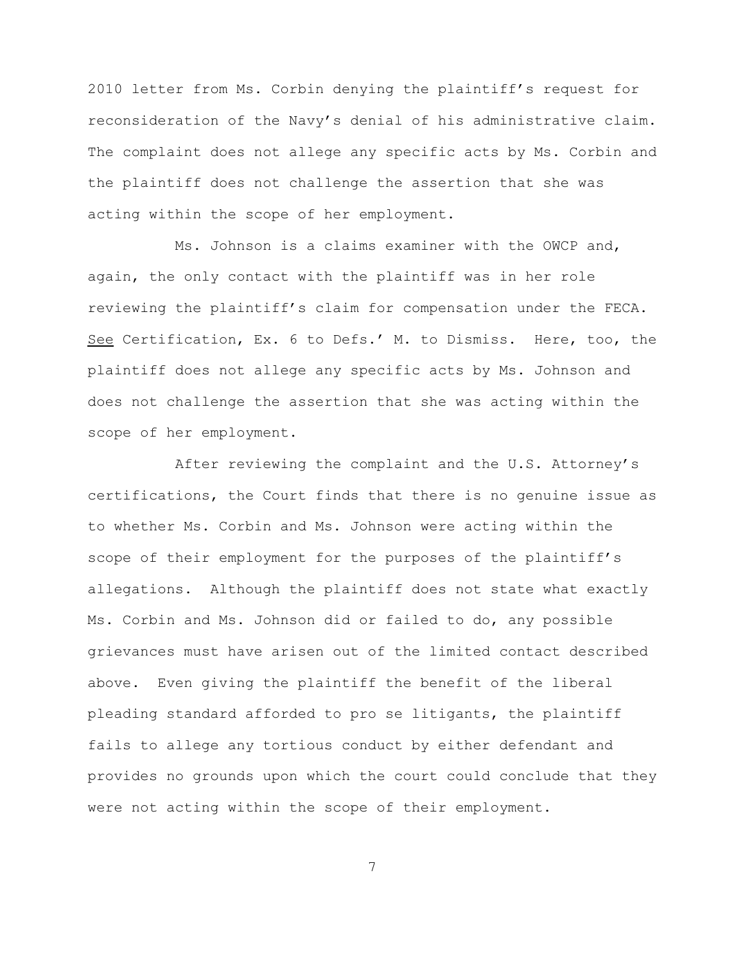2010 letter from Ms. Corbin denying the plaintiff's request for reconsideration of the Navy's denial of his administrative claim. The complaint does not allege any specific acts by Ms. Corbin and the plaintiff does not challenge the assertion that she was acting within the scope of her employment.

Ms. Johnson is a claims examiner with the OWCP and, again, the only contact with the plaintiff was in her role reviewing the plaintiff's claim for compensation under the FECA. See Certification, Ex. 6 to Defs.' M. to Dismiss. Here, too, the plaintiff does not allege any specific acts by Ms. Johnson and does not challenge the assertion that she was acting within the scope of her employment.

After reviewing the complaint and the U.S. Attorney's certifications, the Court finds that there is no genuine issue as to whether Ms. Corbin and Ms. Johnson were acting within the scope of their employment for the purposes of the plaintiff's allegations. Although the plaintiff does not state what exactly Ms. Corbin and Ms. Johnson did or failed to do, any possible grievances must have arisen out of the limited contact described above. Even giving the plaintiff the benefit of the liberal pleading standard afforded to pro se litigants, the plaintiff fails to allege any tortious conduct by either defendant and provides no grounds upon which the court could conclude that they were not acting within the scope of their employment.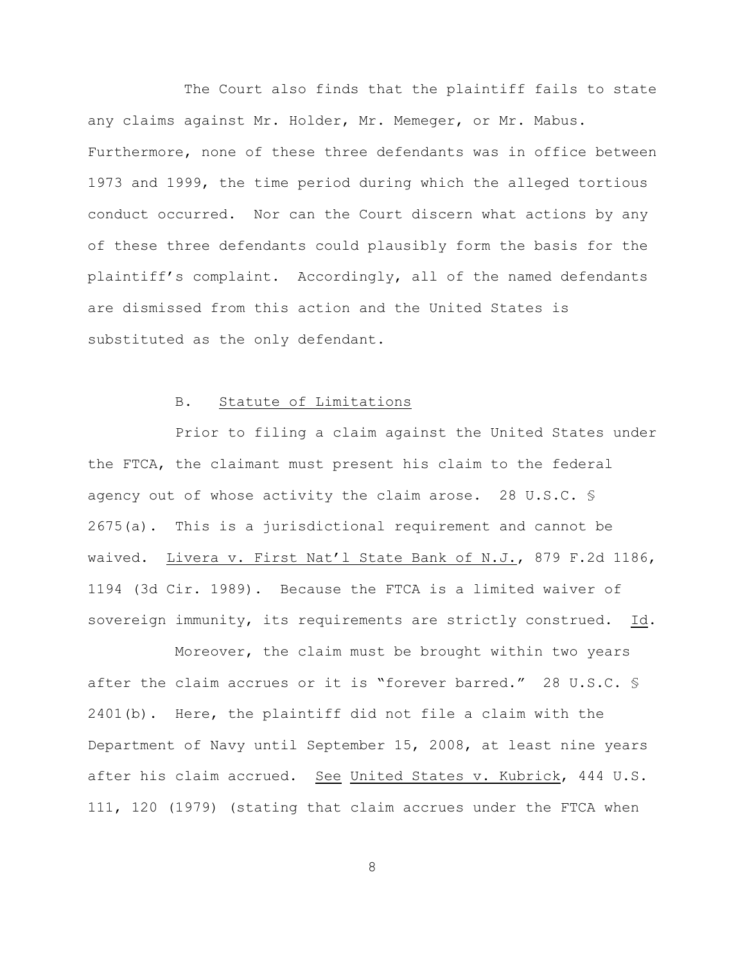The Court also finds that the plaintiff fails to state any claims against Mr. Holder, Mr. Memeger, or Mr. Mabus. Furthermore, none of these three defendants was in office between 1973 and 1999, the time period during which the alleged tortious conduct occurred. Nor can the Court discern what actions by any of these three defendants could plausibly form the basis for the plaintiff's complaint. Accordingly, all of the named defendants are dismissed from this action and the United States is substituted as the only defendant.

### B. Statute of Limitations

Prior to filing a claim against the United States under the FTCA, the claimant must present his claim to the federal agency out of whose activity the claim arose. 28 U.S.C. § 2675(a). This is a jurisdictional requirement and cannot be waived. Livera v. First Nat'l State Bank of N.J., 879 F.2d 1186, 1194 (3d Cir. 1989). Because the FTCA is a limited waiver of sovereign immunity, its requirements are strictly construed. Id.

Moreover, the claim must be brought within two years after the claim accrues or it is "forever barred." 28 U.S.C. § 2401(b). Here, the plaintiff did not file a claim with the Department of Navy until September 15, 2008, at least nine years after his claim accrued. See United States v. Kubrick, 444 U.S. 111, 120 (1979) (stating that claim accrues under the FTCA when